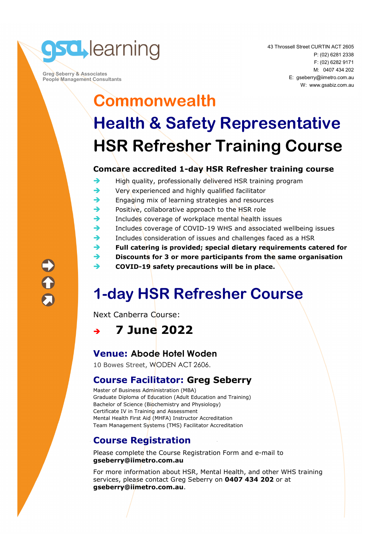

 **Greg Seberry & Associates People Management Consultants**  43 Throssell Street CURTIN ACT 2605 P: (02) 6281 2338 F: (02) 6282 9171 M: 0407 434 202 E: gseberry@iimetro.com.au W: www.gsabiz.com.au

# **Commonwealth Health & Safety Representative HSR Refresher Training Course**

#### **Comcare accredited 1-day HSR Refresher training course**

- $\rightarrow$  High quality, professionally delivered HSR training program
- $\rightarrow$  Very experienced and highly qualified facilitator
- $\rightarrow$  Engaging mix of learning strategies and resources
- $\rightarrow$  Positive, collaborative approach to the HSR role
- $\rightarrow$  Includes coverage of workplace mental health issues
- Includes coverage of COVID-19 WHS and associated wellbeing issues
- $\rightarrow$  Includes consideration of issues and challenges faced as a HSR
- **Full catering is provided; special dietary requirements catered for**
- **Discounts for 3 or more participants from the same organisation**
- **→ COVID-19 safety precautions will be in place.**

## **1-day HSR Refresher Course**

Next Canberra Course:

**7 June 2022** 

### **Venue: Abode Hotel Woden**

10 Bowes Street, WODEN ACT 2606.

#### **Course Facilitator: Greg Seberry**

Master of Business Administration (MBA) Graduate Diploma of Education (Adult Education and Training) Bachelor of Science (Biochemistry and Physiology) Certificate IV in Training and Assessment Mental Health First Aid (MHFA) Instructor Accreditation Team Management Systems (TMS) Facilitator Accreditation

### **Course Registration**

Please complete the Course Registration Form and e-mail to **gseberry@iimetro.com.au**

For more information about HSR, Mental Health, and other WHS training services, please contact Greg Seberry on **0407 434 202** or at **gseberry@iimetro.com.au**.